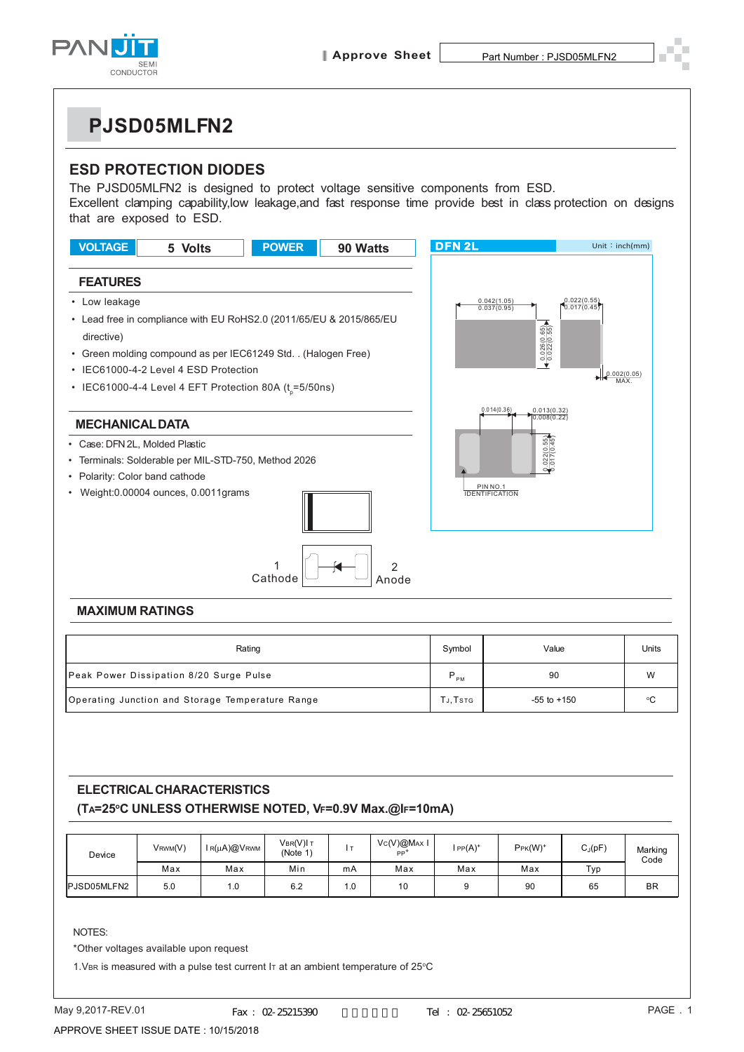

## **PJSD05MLFN2**

## **ESD PROTECTION DIODES**

The PJSD05MLFN2 is designed to protect voltage sensitive components from ESD. Excellent clamping capability,low leakage,and fast response time provide best in class protection on designs that are exposed to ESD.



| Rating                                           | Symbol   | Value           | Units |
|--------------------------------------------------|----------|-----------------|-------|
| Peak Power Dissipation 8/20 Surge Pulse          | D<br>PM  | 90              | W     |
| Operating Junction and Storage Temperature Range | TJ, TSTG | $-55$ to $+150$ | ۰c    |

## **ELECTRICAL CHARACTERISTICS (TA=25oC UNLESS OTHERWISE NOTED, VF=0.9V Max.@IF=10mA)**

| Device              | VRWM(V) | IR(µA)@VRWM | VBR(V)I T<br>(Note 1 |      | Vc(V)@MAx I<br>PP <sup>-</sup> | $IPP(A)^+$ | $Pr(K(W)^+$ | $C_J(pF)$ | Marking<br>Code |
|---------------------|---------|-------------|----------------------|------|--------------------------------|------------|-------------|-----------|-----------------|
|                     | Max     | Max         | Min                  | mA   | Max                            | Max        | Max         | Typ       |                 |
| <b>IPJSD05MLFN2</b> | 5.0     | 1.0         | 6.2                  | 0. ا | 10                             |            | 90          | 65        | <b>BR</b>       |

NOTES:

\*Other voltages available upon request

1. VBR is measured with a pulse test current I $\tau$  at an ambient temperature of 25 $\degree$ C